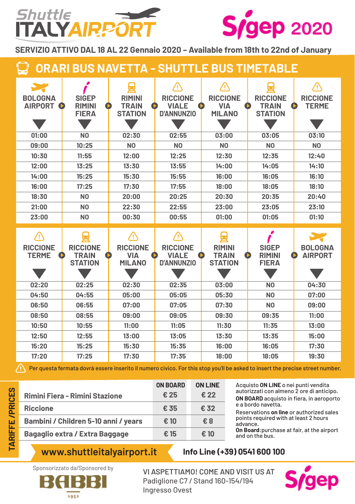## Shuttle **TALYAIRPO**



**SERVIZIO ATTIVO DAL 18 AL 22 Gennaio 2020 – Available from 18th to 22nd of January** 

**ORARI BUS NAVETTA - SHUTTLE BUS TIMETABLE**

| <b>BOLOGNA</b><br><b>AIRPORT</b> | <b>SIGEP</b><br><b>RIMINI</b><br><b>FIERA</b>     | <b>RIMINI</b><br><b>TRAIN</b><br><b>STATION</b> | 4<br><b>RICCIONE</b><br><b>VIALE</b><br><b>D'ANNUNZIO</b> | 4<br><b>RICCIONE</b><br><b>VIA</b><br><b>MILANO</b> | <b>RICCIONE</b><br><b>TRAIN</b><br><b>STATION</b> | 4<br><b>RICCIONE</b><br><b>TERME</b><br>D |
|----------------------------------|---------------------------------------------------|-------------------------------------------------|-----------------------------------------------------------|-----------------------------------------------------|---------------------------------------------------|-------------------------------------------|
|                                  |                                                   |                                                 |                                                           |                                                     |                                                   |                                           |
| 01:00                            | N <sub>0</sub>                                    | 02:30                                           | 02:55                                                     | 03:00                                               | 03:05                                             | 03:10                                     |
| 09:00                            | 10:25                                             | N <sub>0</sub>                                  | N <sub>0</sub>                                            | N <sub>0</sub>                                      | N <sub>0</sub>                                    | N <sub>O</sub>                            |
| 10:30                            | 11:55                                             | 12:00                                           | 12:25                                                     | 12:30                                               | 12:35                                             | 12:40                                     |
| 12:00                            | 13:25                                             | 13:30                                           | 13:55                                                     | 14:00                                               | 14:05                                             | 14:10                                     |
| 14:00                            | 15:25                                             | 15:30                                           | 15:55                                                     | 16:00                                               | 16:05                                             | 16:10                                     |
| 16:00                            | 17:25                                             | 17:30                                           | 17:55                                                     | 18:00                                               | 18:05                                             | 18:10                                     |
| 18:30                            | N <sub>0</sub>                                    | 20:00                                           | 20:25                                                     | 20:30                                               | 20:35                                             | 20:40                                     |
| 21:00                            | N <sub>0</sub>                                    | 22:30                                           | 22:55                                                     | 23:00                                               | 23:05                                             | 23:10                                     |
| 23:00                            | N <sub>0</sub>                                    | 00:30                                           | 00:55                                                     | 01:00                                               | 01:05                                             | 01:10                                     |
| /1                               |                                                   | /۱                                              | /۱                                                        |                                                     |                                                   |                                           |
|                                  |                                                   |                                                 |                                                           |                                                     |                                                   |                                           |
| <b>RICCIONE</b><br><b>TERME</b>  | <b>RICCIONE</b><br><b>TRAIN</b><br><b>STATION</b> | <b>RICCIONE</b><br><b>VIA</b><br><b>MILANO</b>  | <b>RICCIONE</b><br><b>VIALE</b><br><b>D'ANNUNZIO</b>      | <b>RIMINI</b><br><b>TRAIN</b><br><b>STATION</b>     | <b>SIGEP</b><br><b>RIMINI</b><br><b>FIERA</b>     | <b>BOLOGNA</b><br><b>AIRPORT</b>          |
| 02:20                            | 02:25                                             | 02:30                                           | 02:35                                                     | 03:00                                               | N <sub>O</sub>                                    | 04:30                                     |
| 04:50                            | 04:55                                             | 05:00                                           | 05:05                                                     | 05:30                                               | N <sub>0</sub>                                    | 07:00                                     |
| 06:50                            | 06:55                                             | 07:00                                           | 07:05                                                     | 07:30                                               | N <sub>0</sub>                                    | 09:00                                     |
| 08:50                            | 08:55                                             | 09:00                                           | 09:05                                                     | 09:30                                               | 09:35                                             | 11:00                                     |
| 10:50                            | 10:55                                             | 11:00                                           | 11:05                                                     | 11:30                                               | 11:35                                             | 13:00                                     |
| 12:50                            | 12:55                                             | 13:00                                           | 13:05                                                     | 13:30                                               | 13:35                                             | 15:00                                     |
| 15:20                            | 15:25                                             | 15:30                                           | 15:35                                                     | 16:00                                               | 16:05                                             | 17:30                                     |

Per questa fermata dovrà essere inserito il numero civico. For this stop you'll be asked to insert the precise street number.

|                                       | <b>ON BOARD</b> | <b>ON LINE</b> |
|---------------------------------------|-----------------|----------------|
| Rimini Fiera - Rimini Stazione        | € 25            | € 22           |
| <b>Riccione</b>                       | € 35            | $\epsilon$ 32  |
| Bambini / Children 5-10 anni / years  | € 10            | €8             |
| <b>Bagaglio extra / Extra Baggage</b> | € 15            | € 10           |

Acquisto **ON LINE** o nei punti vendita autorizzati con almeno 2 ore di anticipo. **ON BOARD** acquisto in fiera, in aeroporto e a bordo navetta.

Reservations **on line** or authorized sales points required with at least 2 hours advance.

**On Board**:purchase at fair, at the airport and on the bus.

## **www.shuttleitalyairport.it Info Line (+39) 0541 600 100**



Sponsorizzato da/Sponsored by **VI ASPETTIAMO! COME AND VISIT US AT** Padiglione C7 / Stand 160-154/194 Ingresso Ovest